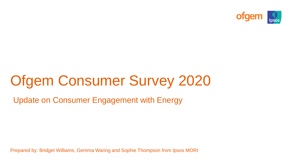

# Ofgem Consumer Survey 2020

Update on Consumer Engagement with Energy

Prepared by: Bridget Williams, Gemma Waring and Sophie Thompson from Ipsos MORI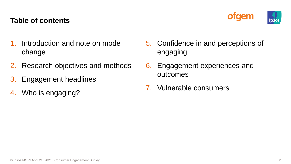#### **Table of contents**



- Introduction and note on mode change
- 2. Research objectives and methods
- 3. Engagement headlines
- 4. Who is engaging?
- 5. Confidence in and perceptions of engaging
- 6. Engagement experiences and outcomes
- 7. Vulnerable consumers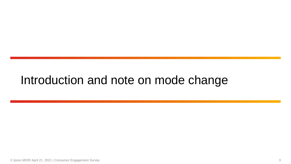# Introduction and note on mode change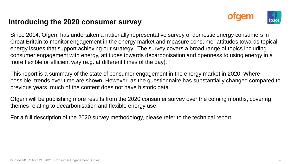#### **Introducing the 2020 consumer survey**



Since 2014, Ofgem has undertaken a nationally representative survey of domestic energy consumers in Great Britain to monitor engagement in the energy market and measure consumer attitudes towards topical energy issues that support achieving our strategy. The survey covers a broad range of topics including consumer engagement with energy, attitudes towards decarbonisation and openness to using energy in a more flexible or efficient way (e.g. at different times of the day).

This report is a summary of the state of consumer engagement in the energy market in 2020. Where possible, trends over time are shown. However, as the questionnaire has substantially changed compared to previous years, much of the content does not have historic data.

Ofgem will be publishing more results from the 2020 consumer survey over the coming months, covering themes relating to decarbonisation and flexible energy use.

For a full description of the 2020 survey methodology, please refer to the technical report.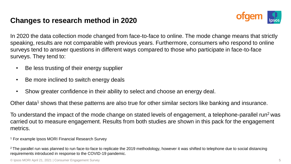#### **Changes to research method in 2020**



In 2020 the data collection mode changed from face-to-face to online. The mode change means that strictly speaking, results are not comparable with previous years. Furthermore, consumers who respond to online surveys tend to answer questions in different ways compared to those who participate in face-to-face surveys. They tend to:

- Be less trusting of their energy supplier
- Be more inclined to switch energy deals
- Show greater confidence in their ability to select and choose an energy deal.

Other data<sup>1</sup> shows that these patterns are also true for other similar sectors like banking and insurance.

To understand the impact of the mode change on stated levels of engagement, a telephone-parallel run<sup>2</sup> was carried out to measure engagement. Results from both studies are shown in this pack for the engagement metrics.

<sup>1</sup> For example Ipsos MORI Financial Research Survey

<sup>2</sup> The parallel run was planned to run face-to-face to replicate the 2019 methodology, however it was shifted to telephone due to social distancing requirements introduced in response to the COVID-19 pandemic.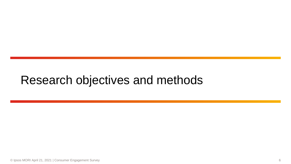# Research objectives and methods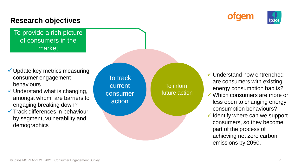#### **Research objectives**

To provide a rich picture of consumers in the market

- $\checkmark$  Update key metrics measuring consumer engagement behaviours
- $\checkmark$  Understand what is changing, amongst whom: are barriers to engaging breaking down?
- $\checkmark$  Track differences in behaviour by segment, vulnerability and demographics

To track current consumer action

To inform future action ✓ Understand how entrenched are consumers with existing energy consumption habits?

fgem

- Which consumers are more or less open to changing energy consumption behaviours?
- $\checkmark$  Identify where can we support consumers, so they become part of the process of achieving net zero carbon emissions by 2050.

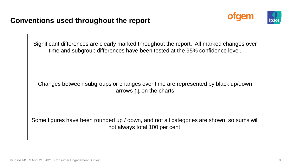



Significant differences are clearly marked throughout the report. All marked changes over time and subgroup differences have been tested at the 95% confidence level.

Changes between subgroups or changes over time are represented by black up/down arrows ↑↓ on the charts

Some figures have been rounded up / down, and not all categories are shown, so sums will not always total 100 per cent.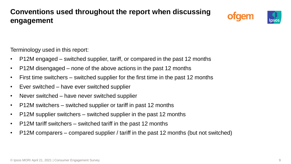# **Conventions used throughout the report when discussing engagement**





Terminology used in this report:

- P12M engaged switched supplier, tariff, or compared in the past 12 months
- P12M disengaged none of the above actions in the past 12 months
- First time switchers switched supplier for the first time in the past 12 months
- Ever switched have ever switched supplier
- Never switched have never switched supplier
- P12M switchers switched supplier or tariff in past 12 months
- P12M supplier switchers switched supplier in the past 12 months
- P12M tariff switchers switched tariff in the past 12 months
- P12M comparers compared supplier / tariff in the past 12 months (but not switched)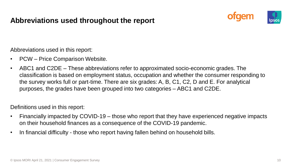#### **Abbreviations used throughout the report**





Abbreviations used in this report:

- PCW Price Comparison Website.
- ABC1 and C2DE These abbreviations refer to approximated socio-economic grades. The classification is based on employment status, occupation and whether the consumer responding to the survey works full or part-time. There are six grades: A, B, C1, C2, D and E. For analytical purposes, the grades have been grouped into two categories – ABC1 and C2DE.

Definitions used in this report:

- Financially impacted by COVID-19 those who report that they have experienced negative impacts on their household finances as a consequence of the COVID-19 pandemic.
- In financial difficulty those who report having fallen behind on household bills.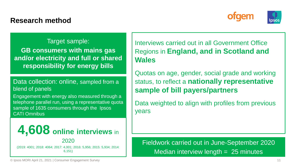#### **Research method**





Target sample: **GB consumers with mains gas and/or electricity and full or shared responsibility for energy bills**

Data collection: online, sampled from a blend of panels

Engagement with energy also measured through a telephone parallel run, using a representative quota sample of 1635 consumers through the Ipsos CATI Omnibus



Interviews carried out in all Government Office Regions in **England, and in Scotland and Wales**

Quotas on age, gender, social grade and working status, to reflect a **nationally representative sample of bill payers/partners**

Data weighted to align with profiles from previous years

Fieldwork carried out in June-September 2020 Median interview length  $= 25$  minutes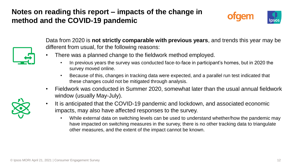## **Notes on reading this report – impacts of the change in method and the COVID-19 pandemic**





Data from 2020 is **not strictly comparable with previous years**, and trends this year may be different from usual, for the following reasons:

- There was a planned change to the fieldwork method employed.
	- In previous years the survey was conducted face-to-face in participant's homes, but in 2020 the survey moved online.
	- Because of this, changes in tracking data were expected, and a parallel run test indicated that these changes could not be mitigated through analysis.
- Fieldwork was conducted in Summer 2020, somewhat later than the usual annual fieldwork window (usually May-July).
- It is anticipated that the COVID-19 pandemic and lockdown, and associated economic impacts, may also have affected responses to the survey.
	- While external data on switching levels can be used to understand whether/how the pandemic may have impacted on switching measures in the survey, there is no other tracking data to triangulate other measures, and the extent of the impact cannot be known.

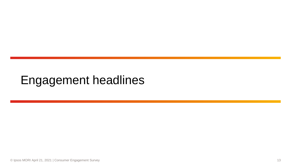# Engagement headlines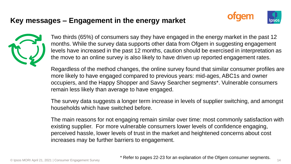### **Key messages – Engagement in the energy market**







Two thirds (65%) of consumers say they have engaged in the energy market in the past 12 months. While the survey data supports other data from Ofgem in suggesting engagement levels have increased in the past 12 months, caution should be exercised in interpretation as the move to an online survey is also likely to have driven up reported engagement rates.

Regardless of the method changes, the online survey found that similar consumer profiles are more likely to have engaged compared to previous years: mid-ages, ABC1s and owner occupiers, and the Happy Shopper and Savvy Searcher segments\*. Vulnerable consumers remain less likely than average to have engaged.

The survey data suggests a longer term increase in levels of supplier switching, and amongst households which have switched before.

The main reasons for not engaging remain similar over time: most commonly satisfaction with existing supplier. For more vulnerable consumers lower levels of confidence engaging, perceived hassle, lower levels of trust in the market and heightened concerns about cost increases may be further barriers to engagement.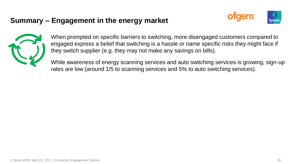#### **Summary – Engagement in the energy market**





When prompted on specific barriers to switching, more disengaged customers compared to engaged express a belief that switching is a hassle or name specific risks they might face if they switch supplier (e.g. they may not make any savings on bills).

While awareness of energy scanning services and auto switching services is growing, sign-up rates are low (around 1/5 to scanning services and 5% to auto switching services).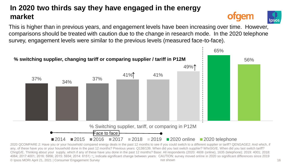# **In 2020 two thirds say they have engaged in the energy market**

This is higher than in previous years, and engagement levels have been increasing over time. However, comparisons should be treated with caution due to the change in research mode. In the 2020 telephone survey, engagement levels were similar to the previous levels (measured face-to-face).



© Ipsos MORI April 21, 2021 | Consumer Engagement Survey 16 2020 QCOMPARE 2: Have you or your household compared energy deals in the past 12 months to see if you could switch to a different supplier or tariff? QENGAGE2: And which, if any, of these have you or your household done in the past 12 months? Previous years: Q138/139. When did you last switch supplier? WhnSG/E. When did you last switch tariff? ChngG/E. Thinking about your supply, which if any of these have you done in the past 12 months? Base: All respondents (2020: 4608 (online), 1635 (telephone); 2019: 4001; 2018: 4064; 2017:4001; 2016: 5956; 2015: 5934; 2014: 6151) ↑↓ indicate significant change between years: CAUTION: survey moved online in 2020 so significant differences since 2019 not shown



**otdem**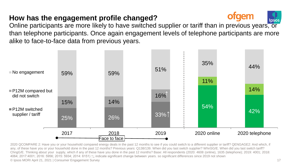### **How has the engagement profile changed?**



Online participants are more likely to have switched supplier or tariff than in previous years, or than telephone participants. Once again engagement levels of telephone participants are more alike to face-to-face data from previous years.



© Ipsos MORI April 21, 2021 | Consumer Engagement Survey 17 2020 QCOMPARE 2: Have you or your household compared energy deals in the past 12 months to see if you could switch to a different supplier or tariff? QENGAGE2: And which, if any, of these have you or your household done in the past 12 months? Previous years: Q138/139. When did you last switch supplier? WhnSG/E. When did you last switch tariff? ChngG/E. Thinking about your supply, which if any of these have you done in the past 12 months? Base: All respondents (2020: 4608 (online), 1635 (telephone); 2019: 4001; 2018: 4064; 2017:4001; 2016: 5956; 2015: 5934; 2014: 6151) ↑↓ indicate significant change between years. so significant differences since 2019 not shown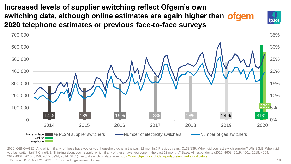**Increased levels of supplier switching reflect Ofgem's own switching data, although online estimates are again higher than 2020 telephone estimates or previous face-to-face surveys**



© Ipsos MORI April 21, 2021 | Consumer Engagement Survey 18 2020: QENGAGE2: And which, if any, of these have you or your household done in the past 12 months? Previous years: Q138/139. When did you last switch supplier? WhnSG/E. When did you last switch tariff? ChngG/E. Thinking about your supply, which if any of these have you done in the past 12 months? Base: All respondents (2020: 4608; 2019: 4001; 2018: 4064; 2017:4001; 2016: 5956; 2015: 5934; 2014: 6151). Actual switching data from <https://www.ofgem.gov.uk/data-portal/retail-market-indicators>

**lpsos**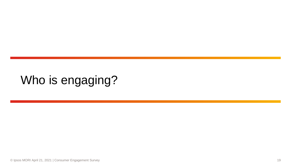# Who is engaging?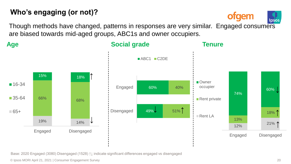# **Who's engaging (or not)?**

ofgem lpso:

Though methods have changed, patterns in responses are very similar. Engaged consumers are biased towards mid-aged groups, ABC1s and owner occupiers.

**Age**





Base: 2020 Engaged (3080) Disengaged (1528) ↑↓ indicate significant differences engaged vs disengaged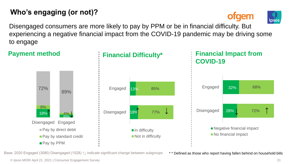# **Who's engaging (or not)?**

**ofgem** 



Disengaged consumers are more likely to pay by PPM or be in financial difficulty. But experiencing a negative financial impact from the COVID-19 pandemic may be driving some to engage



Base: 2020 Engaged (3080) Disengaged (1528) ↑↓ indicate significant change between subgroups

\* \* Defined as those who report having fallen behind on household bills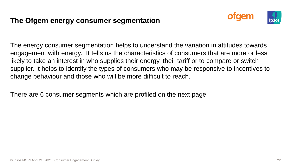#### **The Ofgem energy consumer segmentation**



The energy consumer segmentation helps to understand the variation in attitudes towards engagement with energy. It tells us the characteristics of consumers that are more or less likely to take an interest in who supplies their energy, their tariff or to compare or switch supplier. It helps to identify the types of consumers who may be responsive to incentives to change behaviour and those who will be more difficult to reach.

There are 6 consumer segments which are profiled on the next page.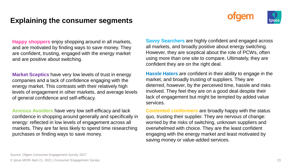#### **Explaining the consumer segments**





**Happy shoppers** enjoy shopping around in all markets, and are motivated by finding ways to save money. They are confident, trusting, engaged with the energy market and are positive about switching.

**Market Sceptics** have very low levels of trust in energy companies and a lack of confidence engaging with the energy market. This contrasts with their relatively high levels of engagement in other markets, and average levels of general confidence and self-efficacy.

**Anxious Avoiders** have very low self-efficacy and lack confidence in shopping around generally and specifically in energy: reflected in low levels of engagement across all markets. They are far less likely to spend time researching purchases or finding ways to save money.

**Savvy Searchers** are highly confident and engaged across all markets, and broadly positive about energy switching. However, they are sceptical about the role of PCWs, often using more than one site to compare. Ultimately, they are confident they are on the right deal.

**Hassle Haters** are confident in their ability to engage in the market, and broadly trusting of suppliers. They are deterred, however, by the perceived time, hassle and risks involved. They feel they are on a good deal despite their lack of engagement but might be tempted by added value services.

**Contented conformers** are broadly happy with the status quo, trusting their supplier. They are nervous of change: worried by the risks of switching, unknown suppliers and overwhelmed with choice. They are the least confident engaging with the energy market and least motivated by saving money or value-added services.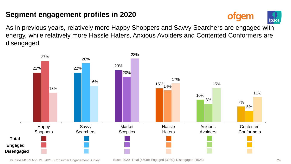# **Segment engagement profiles in 2020**

ofgem lpsos

As in previous years, relatively more Happy Shoppers and Savvy Searchers are engaged with energy, while relatively more Hassle Haters, Anxious Avoiders and Contented Conformers are disengaged.

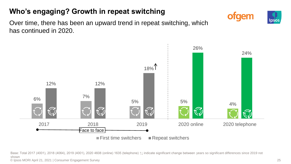# **Who's engaging? Growth in repeat switching**

ofgem



Over time, there has been an upward trend in repeat switching, which has continued in 2020.



© Ipsos MORI April 21, 2021 | Consumer Engagement Survey 25 Base: Total 2017 (4001), 2018 (4064), 2019 (4001), 2020 4608 (online) 1635 (telephone) ↑↓ indicate significant change between years so significant differences since 2019 not shown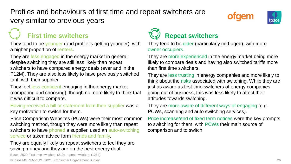# Profiles and behaviours of first time and repeat switchers are very similar to previous years





# **First time switchers**

They tend to be younger (and profile is getting younger), with a higher proportion of renters.

They are less engaged in the energy market in general: despite switching they are still less likely than repeat switchers to have compared energy deals (ever and in the P12M). They are also less likely to have previously switched tariff with their supplier.

They feel less confident engaging in the energy market (comparing and choosing), though no more likely to think that it was difficult to compare.

Having received a bill or statement from their supplier was a key motivation to switch for them.

Price Comparison Websites (PCWs) were their most common switching method, though they were more likely than repeat switchers to have phoned a supplier, used an auto-switching service or taken advice form friends and family.

They are equally likely as repeat switchers to feel they are saving money and they are on the best energy deal.

Base: 2020 First time switchers (219), repeat switchers (1264)

© Ipsos MORI April 21, 2021 | Consumer Engagement Survey 26



They tend to be older (particularly mid-aged), with more owner occupiers.

They are more experienced in the energy market being more likely to compare deals and having also switched tariffs more than first time switchers.

They are less trusting in energy companies and more likely to think about the risks associated with switching. While they are just as aware as first time switchers of energy companies going out of business, this was less likely to affect their attitudes towards switching.

They are more aware of different ways of engaging (e.g. PCWs, scanning and auto switching services).

Price increase/end of fixed term notices were the key prompts to switching for them, with PCWs their main source of comparison and to switch.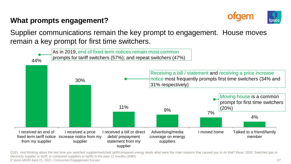#### **What prompts engagement?**



Supplier communications remain the key prompt to engagement. House moves remain a key prompt for first time switchers.



© Ipsos MORI April 21, 2021 | Consumer Engagement Survey 27 Q161. And thinking about the last time you switched supplier/switched tariff/compared energy deals what were the main reasons that caused you to do that? Base: 2020: Switched gas or electricity supplier or tariff, or compared suppliers or tariffs in the past 12 months (3080)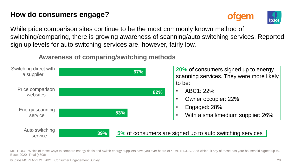### **How do consumers engage?**



While price comparison sites continue to be the most commonly known method of switching/comparing, there is growing awareness of scanning/auto switching services. Reported sign up levels for auto switching services are, however, fairly low.

#### **Awareness of comparing/switching methods**



METHODS. Which of these ways to compare energy deals and switch energy suppliers have you ever heard of? ; METHODS2 And which, if any of these has your household signed up to? Base: 2020: Total (4608)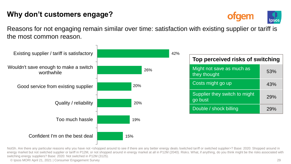## **Why don't customers engage?**



Reasons for not engaging remain similar over time: satisfaction with existing supplier or tariff is the most common reason.



NotSh. Are there any particular reasons why you have not <shopped around to see if there are any better energy deals /switched tariff or switched supplier>? Base: 2020: Shopped around in energy market but not switched supplier or tariff in P12M, or not shopped around in energy market at all in P12M (2040). Risks. What, if anything, do you think might be the risks associated with switching energy suppliers? Base: 2020: Not switched in P12M (3125).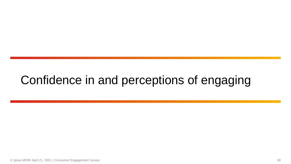# Confidence in and perceptions of engaging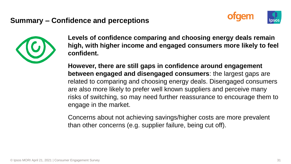#### **Summary – Confidence and perceptions**





**Levels of confidence comparing and choosing energy deals remain high, with higher income and engaged consumers more likely to feel confident.**

**However, there are still gaps in confidence around engagement between engaged and disengaged consumers**: the largest gaps are related to comparing and choosing energy deals. Disengaged consumers are also more likely to prefer well known suppliers and perceive many risks of switching, so may need further reassurance to encourage them to engage in the market.

Concerns about not achieving savings/higher costs are more prevalent than other concerns (e.g. supplier failure, being cut off).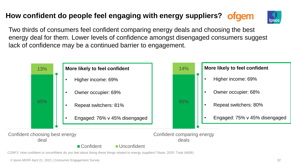# **How confident do people feel engaging with energy suppliers?**



Two thirds of consumers feel confident comparing energy deals and choosing the best energy deal for them. Lower levels of confidence amongst disengaged consumers suggest lack of confidence may be a continued barrier to engagement.

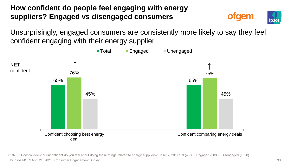# **How confident do people feel engaging with energy suppliers? Engaged vs disengaged consumers**

Unsurprisingly, engaged consumers are consistently more likely to say they feel confident engaging with their energy supplier



© Ipsos MORI April 21, 2021 | Consumer Engagement Survey 33 CONF2: How confident or unconfident do you feel about doing these things related to energy suppliers? Base: 2020: Total (4608), Engaged (3080), Disengaged (1528)

taem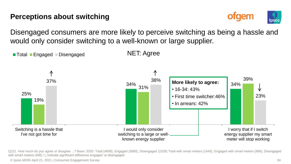### **Perceptions about switching**



Disengaged consumers are more likely to perceive switching as being a hassle and would only consider switching to a well-known or large supplier.



Q121. How much do you agree or disagree ...? Base: 2020: Total (4608), Engaged (3080), Disengaged (1528) Total with smart meters (1445), Engaged with smart meters (989), Disengaged with smart meters (456) ↑↓ indicate significant difference engaged vs disengaged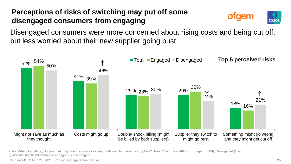# **Perceptions of risks of switching may put off some disengaged consumers from engaging**



Disengaged consumers were more concerned about rising costs and being cut off, but less worried about their new supplier going bust.



Risks. What, if anything, do you think might be the risks associated with switching energy suppliers? Base: 2020: Total (4608), Engaged (3080), Disengaged (1528)

↑↓ indicate significant difference engaged vs disengaged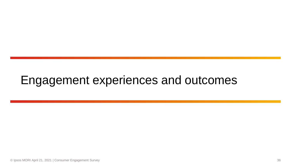# Engagement experiences and outcomes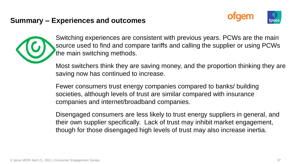#### **Summary – Experiences and outcomes**



Switching experiences are consistent with previous years. PCWs are the main source used to find and compare tariffs and calling the supplier or using PCWs the main switching methods.

Most switchers think they are saving money, and the proportion thinking they are saving now has continued to increase.

Fewer consumers trust energy companies compared to banks/ building societies, although levels of trust are similar compared with insurance companies and internet/broadband companies.

Disengaged consumers are less likely to trust energy suppliers in general, and their own supplier specifically. Lack of trust may inhibit market engagement, though for those disengaged high levels of trust may also increase inertia.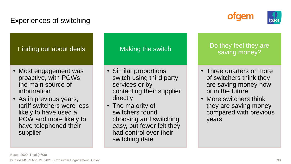## Experiences of switching





#### Finding out about deals

- Most engagement was proactive, with PCWs the main source of information
- As in previous years, tariff switchers were less likely to have used a PCW and more likely to have telephoned their supplier

#### Making the switch

- Similar proportions switch using third party services or by contacting their supplier directly
- The majority of switchers found choosing and switching easy, but fewer felt they had control over their switching date

#### Do they feel they are saving money?

- Three quarters or more of switchers think they are saving money now or in the future
- More switchers think they are saving money compared with previous years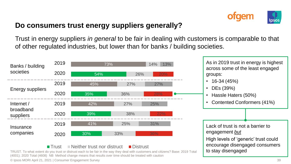

#### **Do consumers trust energy suppliers generally?**

Trust in energy suppliers *in general* to be fair in dealing with customers is comparable to that of other regulated industries, but lower than for banks / building societies.



#### $\blacksquare$  Trust  $\blacksquare$  Neither trust nor distruct  $\blacksquare$  Distrust

© Ipsos MORI April 21, 2021 | Consumer Engagement Survey 39 TRUST. To what extent do you trust or distrust each to be fair in the way they deal with customers and citizens? Base: 2019 Total (4001); 2020 Total (4608) NB Method change means that results over time should be treated with caution

to stay disengaged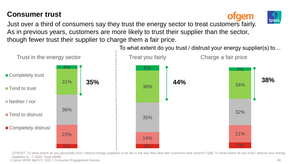## **Consumer trust**

Just over a third of consumers say they trust the energy sector to treat customers fairly. As in previous years, customers are more likely to trust their supplier than the sector, though fewer trust their supplier to charge them a fair price.



© Ipsos MORI April 21, 2021 | Consumer Engagement Survey 40 QTRUST: To what extent do you personally trust / distrust energy suppliers to be fair in the way they deal with customers and citizens? Q68: To what extent do you trust / distrust your energy suppliers to…? 2020: Total (4608)



**raem** 

Ipsos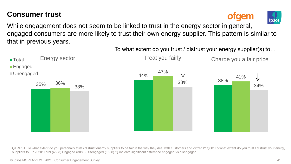### **Consumer trust**





While engagement does not seem to be linked to trust in the energy sector in general, engaged consumers are more likely to trust their own energy supplier. This pattern is similar to that in previous years.





QTRUST: To what extent do you personally trust / distrust energy suppliers to be fair in the way they deal with customers and citizens? Q68: To what extent do you trust / distrust your energy suppliers to…? 2020: Total (4608) Engaged (3080) Disengaged (1528) ↑↓ indicate significant difference engaged vs disengaged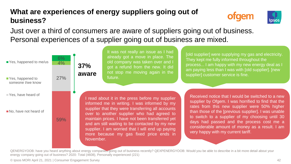## **What are experiences of energy suppliers going out of business?**

November.





Just over a third of consumers are aware of suppliers going out of business. Personal experiences of a supplier going out of business are mixed.

already got a move in place. The old company was taken over and I got a refund from the new. It did not stop me moving again in the future. Received notice that I would be switched to a new supplier by Ofgem. I was horrified to find that the rates from this new supplier were 50% higher than those of the [previous supplier]. I was unable to switch to a supplier of my choosing until 30 days had passed and the process cost me a considerable amount of money as a result. I am very happy with my current tariff. I read about it in the press before my supplier informed me in writing. I was informed by my supplier that they were transferring all accounts over to another supplier who had agreed to maintain prices. I have not been transferred yet and am still waiting to be contacted by my new supplier. I am worried that I will end up paying [old supplier] were supplying my gas and electricity. They kept me fully informed throughout the process... I am happy with my new energy deal as I am paying less than I was with [old supplier]. [new supplier] customer service is fine. 59% 27%  $4%$ 6% ■ Yes, happened to me/us ■ Yes, happened to someone I/we know Yes, have heard of No, have not heard of **37% aware**

It was not really an issue as I had

QENERGYOOB: have you heard anything about energy companies going out of business recently? QEXPENERGYOOB: Would you be able to describe in a bit more detail about your energy company going out of business? 2020: Total (4608), Personally experienced (221)

more because my gas fixed price ends in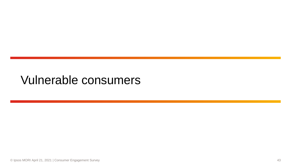# Vulnerable consumers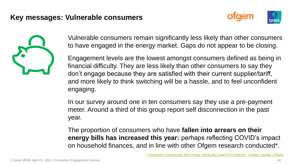#### **Key messages: Vulnerable consumers**





Vulnerable consumers remain significantly less likely than other consumers to have engaged in the energy market. Gaps do not appear to be closing.

Engagement levels are the lowest amongst consumers defined as being in financial difficulty. They are less likely than other consumers to say they don't engage because they are satisfied with their current supplier/tariff, and more likely to think switching will be a hassle, and to feel unconfident engaging.

In our survey around one in ten consumers say they use a pre-payment meter. Around a third of this group report self disconnection in the past year.

The proportion of consumers who have **fallen into arrears on their energy bills has increased this year:** perhaps reflecting COVID's impact on household finances, and in line with other Ofgem research conducted\*.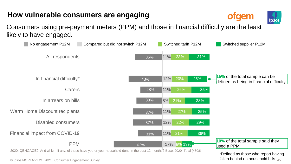### **How vulnerable consumers are engaging**

Consumers using pre-payment meters (PPM) and those in financial difficulty are the least likely to have engaged.



\*Defined as those who report having fallen behind on household bills  $45$ 

ofgem

lpso: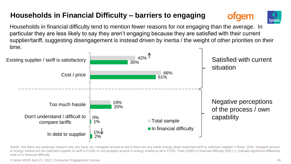# **Households in Financial Difficulty – barriers to engaging**





Households in financial difficulty tend to mention fewer reasons for not engaging than the average. In particular they are less likely to say they aren't engaging because they are satisfied with their current supplier/tariff, suggesting disengagement is instead driven by inertia / the weight of other priorities on their time.



NotSh. Are there any particular reasons why you have not <shopped around to see if there are any better energy deals /switched tariff or switched supplier>? Base: 2020: Shopped around in energy market but not switched supplier or tariff in P12M, or not shopped around in energy market at all in P12M: Total (2040) In financial difficulty (352 ) ↑↓ indicate significant difference total vs in financial difficulty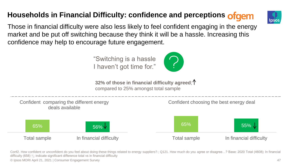# **Households in Financial Difficulty: confidence and perceptions**



Those in financial difficulty were also less likely to feel confident engaging in the energy market and be put off switching because they think it will be a hassle. Increasing this confidence may help to encourage future engagement.

> "Switching is a hassle I haven't got time for."



**32% of those in financial difficulty agreed**; compared to 25% amongst total sample



© Ipsos MORI April 21, 2021 | Consumer Engagement Survey 47 Conf2. How confident or unconfident do you feel about doing these things related to energy suppliers?.; Q121. How much do you agree or disagree…? Base: 2020 Total (4608); In financial difficulty (658) ↑↓ indicate significant difference total vs in financial difficulty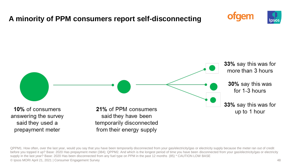

© Ipsos MORI April 21, 2021 | Consumer Engagement Survey 48 QPPM1. How often, over the last year, would you say that you have been temporarily disconnected from your gas/electricity/gas or electricity supply because the meter ran out of credit before you topped it up? Base: 2020 Has prepayment meter (384); QPPM2. And which is the longest period of time you have been disconnected from your gas/electricity/gas or electricity supply in the last year? Base: 2020 Has been disconnected from any fuel type on PPM in the past 12 months (85) \* CAUTION LOW BASE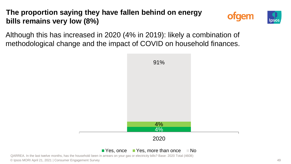# **The proportion saying they have fallen behind on energy bills remains very low (8%)**





Although this has increased in 2020 (4% in 2019): likely a combination of methodological change and the impact of COVID on household finances.



#### $\blacksquare$  Yes, once  $\blacksquare$  Yes, more than once  $\blacksquare$  No

© Ipsos MORI April 21, 2021 | Consumer Engagement Survey 49 QARREA. In the last twelve months, has the household been in arrears on your gas or electricity bills? Base: 2020 Total (4608)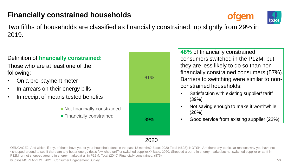### **Financially constrained households**





Two fifths of households are classified as financially constrained: up slightly from 29% in 2019.

#### Definition of **financially constrained:**

Those who are at least one of the following:

- On a pre-payment meter
- In arrears on their energy bills
- In receipt of means tested benefits

■ Not financially constrained **Financially constrained** 

| 61% |  |
|-----|--|
| 39% |  |

**48%** of financially constrained consumers switched in the P12M, but they are less likely to do so than nonfinancially constrained consumers (57%). Barriers to switching were similar to nonconstrained households:

- Satisfaction with existing supplier/ tariff (39%)
- Not saving enough to make it worthwhile (26%)
- Good service from existing supplier (22%)

2020

© Ipsos MORI April 21, 2021 | Consumer Engagement Survey 50 QENGAGE2: And which, if any, of these have you or your household done in the past 12 months? Base: 2020 Total (4608); NOTSH: Are there any particular reasons why you have not <shopped around to see if there are any better energy deals /switched tariff or switched supplier>? Base: 2020: Shopped around in energy market but not switched supplier or tariff in P12M, or not shopped around in energy market at all in P12M: Total (2040) Financially constrained: (876)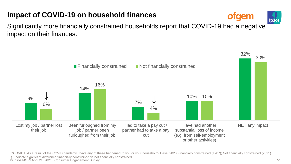#### © Ipsos MORI April 21, 2021 | Consumer Engagement Survey 51 QCOVID1. As a result of the COVID pandemic, have any of these happened to you or your household? Base: 2020 Financially constrained (1787); Not financially constrained (2821) ↑↓ indicate significant difference financially constrained vs not financially constrained

### **Impact of COVID-19 on household finances**

Significantly more financially constrained households report that COVID-19 had a negative impact on their finances.



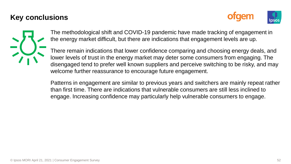#### **Key conclusions**





The methodological shift and COVID-19 pandemic have made tracking of engagement in the energy market difficult, but there are indications that engagement levels are up.

There remain indications that lower confidence comparing and choosing energy deals, and lower levels of trust in the energy market may deter some consumers from engaging. The disengaged tend to prefer well known suppliers and perceive switching to be risky, and may welcome further reassurance to encourage future engagement.

Patterns in engagement are similar to previous years and switchers are mainly repeat rather than first time. There are indications that vulnerable consumers are still less inclined to engage. Increasing confidence may particularly help vulnerable consumers to engage.